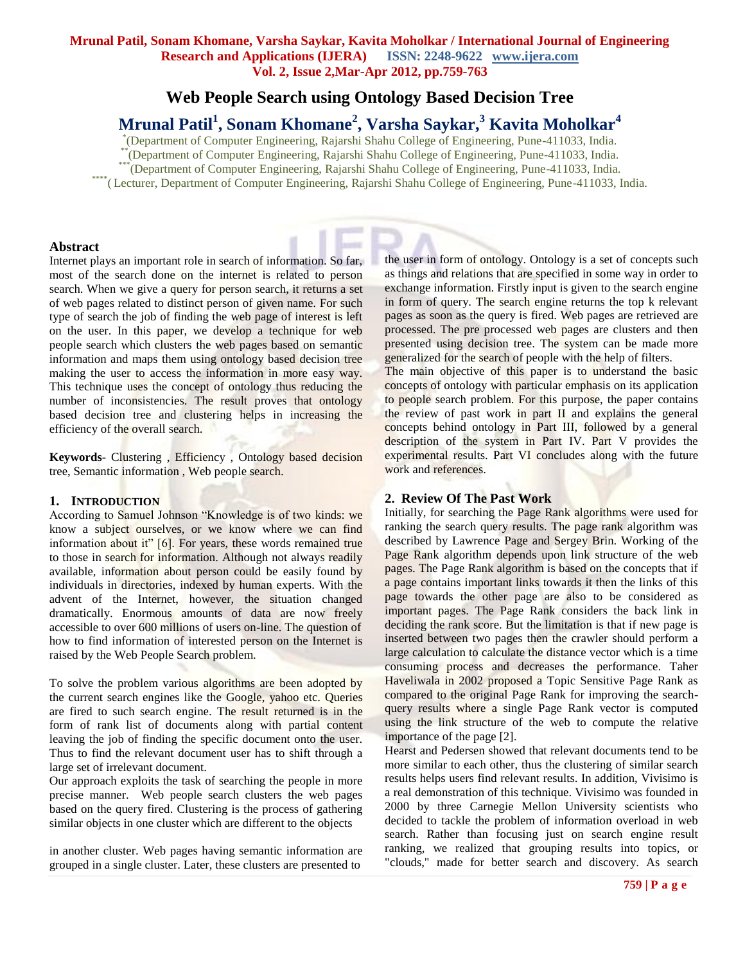# **Mrunal Patil, Sonam Khomane, Varsha Saykar, Kavita Moholkar / International Journal of Engineering Research and Applications (IJERA) ISSN: 2248-9622 www.ijera.com**

**Vol. 2, Issue 2,Mar-Apr 2012, pp.759-763**

# **Web People Search using Ontology Based Decision Tree**

# **Mrunal Patil<sup>1</sup> , Sonam Khomane<sup>2</sup> , Varsha Saykar, <sup>3</sup> Kavita Moholkar<sup>4</sup>**

\* (Department of Computer Engineering, Rajarshi Shahu College of Engineering, Pune-411033, India. \*\*(Department of Computer Engineering, Rajarshi Shahu College of Engineering, Pune-411033, India. \*\*\*(Department of Computer Engineering, Rajarshi Shahu College of Engineering, Pune-411033, India. \*\*\*\*( Lecturer, Department of Computer Engineering, Rajarshi Shahu College of Engineering, Pune-411033, India.

#### **Abstract**

Internet plays an important role in search of information. So far, most of the search done on the internet is related to person search. When we give a query for person search, it returns a set of web pages related to distinct person of given name. For such type of search the job of finding the web page of interest is left on the user. In this paper, we develop a technique for web people search which clusters the web pages based on semantic information and maps them using ontology based decision tree making the user to access the information in more easy way. This technique uses the concept of ontology thus reducing the number of inconsistencies. The result proves that ontology based decision tree and clustering helps in increasing the efficiency of the overall search.

**Keywords-** Clustering , Efficiency , Ontology based decision tree, Semantic information , Web people search.

#### **1. INTRODUCTION**

According to Samuel Johnson "Knowledge is of two kinds: we know a subject ourselves, or we know where we can find information about it" [6]. For years, these words remained true to those in search for information. Although not always readily available, information about person could be easily found by individuals in directories, indexed by human experts. With the advent of the Internet, however, the situation changed dramatically. Enormous amounts of data are now freely accessible to over 600 millions of users on-line. The question of how to find information of interested person on the Internet is raised by the Web People Search problem.

To solve the problem various algorithms are been adopted by the current search engines like the Google, yahoo etc. Queries are fired to such search engine. The result returned is in the form of rank list of documents along with partial content leaving the job of finding the specific document onto the user. Thus to find the relevant document user has to shift through a large set of irrelevant document.

Our approach exploits the task of searching the people in more precise manner. Web people search clusters the web pages based on the query fired. Clustering is the process of gathering similar objects in one cluster which are different to the objects

in another cluster. Web pages having semantic information are grouped in a single cluster. Later, these clusters are presented to

the user in form of ontology. Ontology is a set of concepts such as things and relations that are specified in some way in order to exchange information. Firstly input is given to the search engine in form of query. The search engine returns the top k relevant pages as soon as the query is fired. Web pages are retrieved are processed. The pre processed web pages are clusters and then presented using decision tree. The system can be made more generalized for the search of people with the help of filters.

The main objective of this paper is to understand the basic concepts of ontology with particular emphasis on its application to people search problem. For this purpose, the paper contains the review of past work in part II and explains the general concepts behind ontology in Part III, followed by a general description of the system in Part IV. Part V provides the experimental results. Part VI concludes along with the future work and references.

## **2. Review Of The Past Work**

Initially, for searching the Page Rank algorithms were used for ranking the search query results. The page rank algorithm was described by Lawrence Page and Sergey Brin. Working of the Page Rank algorithm depends upon link structure of the web pages. The Page Rank algorithm is based on the concepts that if a page contains important links towards it then the links of this page towards the other page are also to be considered as important pages. The Page Rank considers the back link in deciding the rank score. But the limitation is that if new page is inserted between two pages then the crawler should perform a large calculation to calculate the distance vector which is a time consuming process and decreases the performance. Taher Haveliwala in 2002 proposed a Topic Sensitive Page Rank as compared to the original Page Rank for improving the searchquery results where a single Page Rank vector is computed using the link structure of the web to compute the relative importance of the page [2].

Hearst and Pedersen showed that relevant documents tend to be more similar to each other, thus the clustering of similar search results helps users find relevant results. In addition, Vivisimo is a real demonstration of this technique. Vivisimo was founded in 2000 by three Carnegie Mellon University scientists who decided to tackle the problem of information overload in web search. Rather than focusing just on search engine result ranking, we realized that grouping results into topics, or "clouds," made for better search and discovery. As search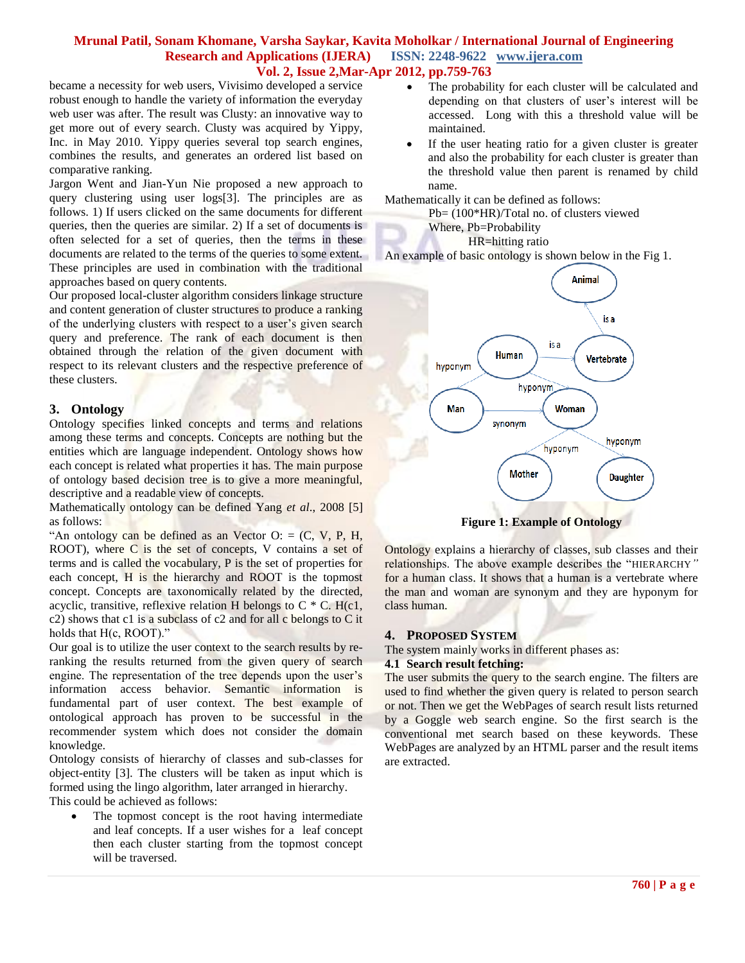# **Mrunal Patil, Sonam Khomane, Varsha Saykar, Kavita Moholkar / International Journal of Engineering Research and Applications (IJERA) ISSN: 2248-9622 www.ijera.com Vol. 2, Issue 2,Mar-Apr 2012, pp.759-763**

became a necessity for web users, Vivisimo developed a service robust enough to handle the variety of information the everyday web user was after. The result was Clusty: an innovative way to get more out of every search. Clusty was acquired by Yippy, Inc. in May 2010. Yippy queries several top search engines, combines the results, and generates an ordered list based on comparative ranking.

Jargon Went and Jian-Yun Nie proposed a new approach to query clustering using user logs[3]. The principles are as follows. 1) If users clicked on the same documents for different queries, then the queries are similar. 2) If a set of documents is often selected for a set of queries, then the terms in these documents are related to the terms of the queries to some extent. These principles are used in combination with the traditional approaches based on query contents.

Our proposed local-cluster algorithm considers linkage structure and content generation of cluster structures to produce a ranking of the underlying clusters with respect to a user"s given search query and preference. The rank of each document is then obtained through the relation of the given document with respect to its relevant clusters and the respective preference of these clusters.

## **3. Ontology**

Ontology specifies linked concepts and terms and relations among these terms and concepts. Concepts are nothing but the entities which are language independent. Ontology shows how each concept is related what properties it has. The main purpose of ontology based decision tree is to give a more meaningful, descriptive and a readable view of concepts.

Mathematically ontology can be defined Yang *et al*., 2008 [5] as follows:

"An ontology can be defined as an Vector O:  $= (C, V, P, H, F)$ ROOT), where C is the set of concepts, V contains a set of terms and is called the vocabulary, P is the set of properties for each concept, H is the hierarchy and ROOT is the topmost concept. Concepts are taxonomically related by the directed, acyclic, transitive, reflexive relation H belongs to  $C \times C$ . H(c1, c2) shows that c1 is a subclass of c2 and for all c belongs to  $C$  it holds that H(c, ROOT)."

Our goal is to utilize the user context to the search results by reranking the results returned from the given query of search engine. The representation of the tree depends upon the user's information access behavior. Semantic information is fundamental part of user context. The best example of ontological approach has proven to be successful in the recommender system which does not consider the domain knowledge.

Ontology consists of hierarchy of classes and sub-classes for object-entity [3]. The clusters will be taken as input which is formed using the lingo algorithm, later arranged in hierarchy.

This could be achieved as follows:

 The topmost concept is the root having intermediate and leaf concepts. If a user wishes for a leaf concept then each cluster starting from the topmost concept will be traversed.

- The probability for each cluster will be calculated and depending on that clusters of user's interest will be accessed. Long with this a threshold value will be maintained.
- If the user heating ratio for a given cluster is greater and also the probability for each cluster is greater than the threshold value then parent is renamed by child name.

Mathematically it can be defined as follows:

- Pb= (100\*HR)/Total no. of clusters viewed
	- Where, Pb=Probability

HR=hitting ratio

An example of basic ontology is shown below in the Fig 1.



Ontology explains a hierarchy of classes, sub classes and their relationships. The above example describes the "HIERARCHY*"* for a human class. It shows that a human is a vertebrate where the man and woman are synonym and they are hyponym for class human.

#### **4. PROPOSED SYSTEM**

The system mainly works in different phases as:

#### **4.1 Search result fetching:**

The user submits the query to the search engine. The filters are used to find whether the given query is related to person search or not. Then we get the WebPages of search result lists returned by a Goggle web search engine. So the first search is the conventional met search based on these keywords. These WebPages are analyzed by an HTML parser and the result items are extracted.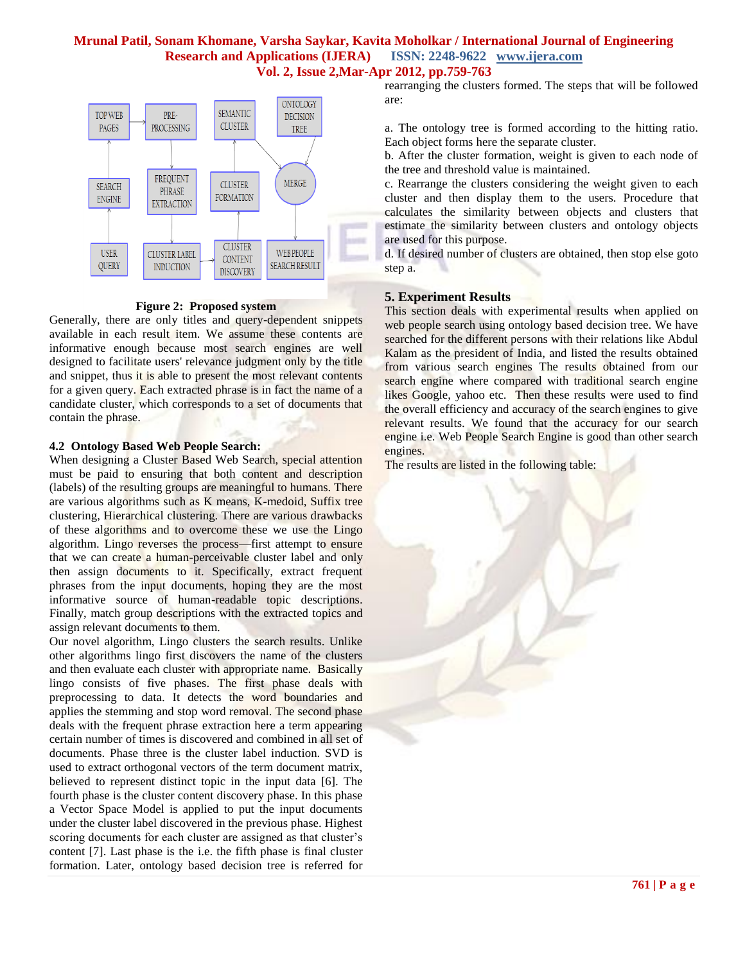# **Mrunal Patil, Sonam Khomane, Varsha Saykar, Kavita Moholkar / International Journal of Engineering Research and Applications (IJERA) ISSN: 2248-9622 www.ijera.com Vol. 2, Issue 2,Mar-Apr 2012, pp.759-763**



#### **Figure 2: Proposed system**

Generally, there are only titles and query-dependent snippets available in each result item. We assume these contents are informative enough because most search engines are well designed to facilitate users' relevance judgment only by the title and snippet, thus it is able to present the most relevant contents for a given query. Each extracted phrase is in fact the name of a candidate cluster, which corresponds to a set of documents that contain the phrase.

#### **4.2 Ontology Based Web People Search:**

When designing a Cluster Based Web Search, special attention must be paid to ensuring that both content and description (labels) of the resulting groups are meaningful to humans. There are various algorithms such as K means, K-medoid, Suffix tree clustering, Hierarchical clustering. There are various drawbacks of these algorithms and to overcome these we use the Lingo algorithm. Lingo reverses the process—first attempt to ensure that we can create a human-perceivable cluster label and only then assign documents to it. Specifically, extract frequent phrases from the input documents, hoping they are the most informative source of human-readable topic descriptions. Finally, match group descriptions with the extracted topics and assign relevant documents to them.

Our novel algorithm, Lingo clusters the search results. Unlike other algorithms lingo first discovers the name of the clusters and then evaluate each cluster with appropriate name. Basically lingo consists of five phases. The first phase deals with preprocessing to data. It detects the word boundaries and applies the stemming and stop word removal. The second phase deals with the frequent phrase extraction here a term appearing certain number of times is discovered and combined in all set of documents. Phase three is the cluster label induction. SVD is used to extract orthogonal vectors of the term document matrix, believed to represent distinct topic in the input data [6]. The fourth phase is the cluster content discovery phase. In this phase a Vector Space Model is applied to put the input documents under the cluster label discovered in the previous phase. Highest scoring documents for each cluster are assigned as that cluster's content [7]. Last phase is the i.e. the fifth phase is final cluster formation. Later, ontology based decision tree is referred for rearranging the clusters formed. The steps that will be followed are:

a. The ontology tree is formed according to the hitting ratio. Each object forms here the separate cluster.

b. After the cluster formation, weight is given to each node of the tree and threshold value is maintained.

c. Rearrange the clusters considering the weight given to each cluster and then display them to the users. Procedure that calculates the similarity between objects and clusters that estimate the similarity between clusters and ontology objects are used for this purpose.

d. If desired number of clusters are obtained, then stop else goto step a.

#### **5. Experiment Results**

This section deals with experimental results when applied on web people search using ontology based decision tree. We have searched for the different persons with their relations like Abdul Kalam as the president of India, and listed the results obtained from various search engines The results obtained from our search engine where compared with traditional search engine likes Google, yahoo etc. Then these results were used to find the overall efficiency and accuracy of the search engines to give relevant results. We found that the accuracy for our search engine i.e. Web People Search Engine is good than other search engines.

The results are listed in the following table: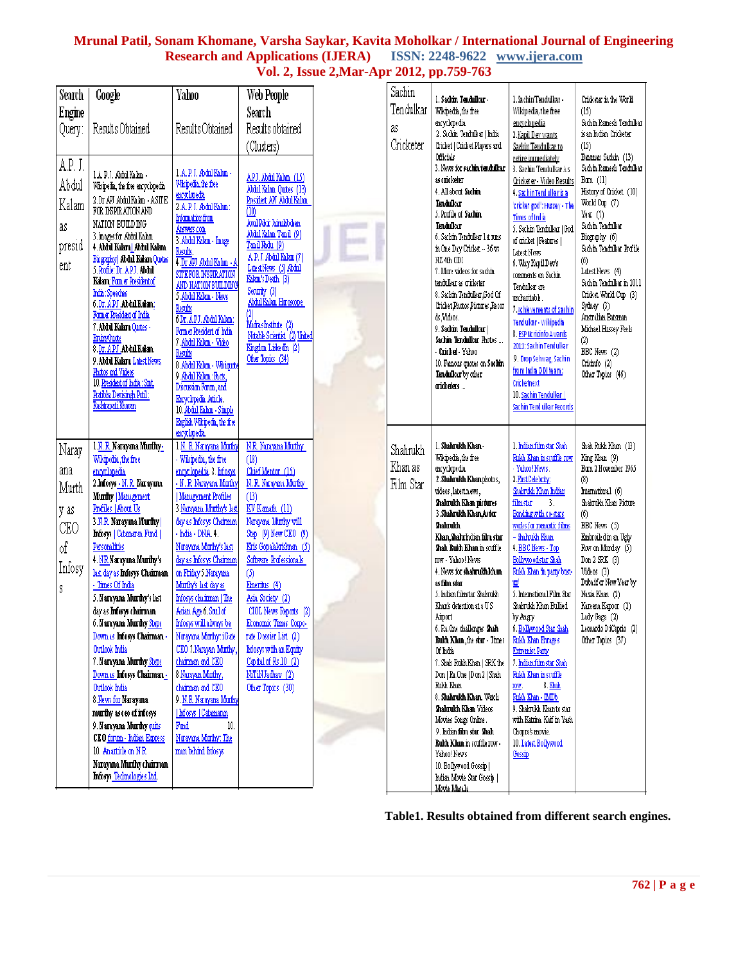# **Mrunal Patil, Sonam Khomane, Varsha Saykar, Kavita Moholkar / International Journal of Engineering Research and Applications (IJERA) ISSN: 2248-9622 www.ijera.com**

| Search                                                    | Google                                                                                                                                                                                                                                                                                                                                                                                                                                                                                                                                                                                                                                                                                                                      | Yahoo                                                                                                                                                                                                                                                                                                                                                                                                                                                                                                                                                                                                                                    | Web People                                                                                                                                                                                                                                                                                                                                                                                                                  | Sachin                           | l. Sachin Tendulkar -                                                                                                                                                                                                                                                                                                                                                                                                                                                                                                                                                                                                                                                                                                                                                                     | 1. Sa chin Tendulkar -                                                                                                                                                                                                                                                                                                                                                                                                                                                                                                                                                                                                                                                                     | Cricketer in the World                                                                                                                                                                                                                                                                                                                                                                       |
|-----------------------------------------------------------|-----------------------------------------------------------------------------------------------------------------------------------------------------------------------------------------------------------------------------------------------------------------------------------------------------------------------------------------------------------------------------------------------------------------------------------------------------------------------------------------------------------------------------------------------------------------------------------------------------------------------------------------------------------------------------------------------------------------------------|------------------------------------------------------------------------------------------------------------------------------------------------------------------------------------------------------------------------------------------------------------------------------------------------------------------------------------------------------------------------------------------------------------------------------------------------------------------------------------------------------------------------------------------------------------------------------------------------------------------------------------------|-----------------------------------------------------------------------------------------------------------------------------------------------------------------------------------------------------------------------------------------------------------------------------------------------------------------------------------------------------------------------------------------------------------------------------|----------------------------------|-------------------------------------------------------------------------------------------------------------------------------------------------------------------------------------------------------------------------------------------------------------------------------------------------------------------------------------------------------------------------------------------------------------------------------------------------------------------------------------------------------------------------------------------------------------------------------------------------------------------------------------------------------------------------------------------------------------------------------------------------------------------------------------------|--------------------------------------------------------------------------------------------------------------------------------------------------------------------------------------------------------------------------------------------------------------------------------------------------------------------------------------------------------------------------------------------------------------------------------------------------------------------------------------------------------------------------------------------------------------------------------------------------------------------------------------------------------------------------------------------|----------------------------------------------------------------------------------------------------------------------------------------------------------------------------------------------------------------------------------------------------------------------------------------------------------------------------------------------------------------------------------------------|
| Engine<br>Query:                                          | Results Obtained                                                                                                                                                                                                                                                                                                                                                                                                                                                                                                                                                                                                                                                                                                            | Results Obtained                                                                                                                                                                                                                                                                                                                                                                                                                                                                                                                                                                                                                         | Search<br>Results obtained<br>(Clusters)                                                                                                                                                                                                                                                                                                                                                                                    | Tendulkar<br>as<br>Cricketer     | Wikipedia, the free<br>encyclopedia<br>2. Sachin Tendulkar   India<br>Cricket   Cricket Players and                                                                                                                                                                                                                                                                                                                                                                                                                                                                                                                                                                                                                                                                                       | Wikipedia, the free<br>encyclopedia<br>2. Kapil Dev wants<br>Sachin Tendulkar to                                                                                                                                                                                                                                                                                                                                                                                                                                                                                                                                                                                                           | (15)<br>Sachin Ramesh Tendulkar<br>is an Indian Cricketer<br>(15)                                                                                                                                                                                                                                                                                                                            |
| A.P. J.<br>Abdul<br>Kalam<br>as<br>presid<br>ent          | I.A. P.J. Abdul Kalum -<br>Whipedia, the free encyclopedia<br>2. Dr APJ Abdul Kalem - ASITE<br>FOR INSPIRATION AND<br>NATION BUILDING<br>3. Images for Abdul Kahm<br>4. Abdul Kalam   Abdul Kalam<br>Biography  Abdul Kalam Quotes<br>5. Profile: Dr. A.P.J. Abdul<br>Kalam: Form or President of<br>India: Speeches<br>6.Dr. APJ. Abdul Kalam;<br>Former President of India<br>7. Abdul Kalam Quotes -<br><b>BrainvOucte</b><br>8. Dr. A.P.J. Abdul Kalam<br>9. Abdul Kalam: Latest News.<br>Photos and Videos<br>10. President of India: Smt.<br>Pratiblea Devisingh Patil:<br>Rashtrapati Bhawan                                                                                                                         | 1. A.P.J. Abdul Kalam -<br>Wikipedia, the free<br>encyclopedia<br>2. A.P. J. Abdul Kalam:<br>Information from<br>AYSWEIS COIL<br>3. Abdul Kalam - Image<br>Results.<br>4. Dr APJ Abdul Kahm - A<br>SITEFOR INSPIRATION<br>AND NATION BUILDING<br>5. Abdul Kalam - News<br>Results<br>6 Dr. A.P.J. Abdul Kalam<br>Former President of India<br>7. Abdul Kalam - Video<br>Results<br>8. Abdul Kalam - Whiquote<br>9. Abdul Kalam: Rects,<br>Discussion Forum, and<br>Excyclopedia Atticle.<br>10. Abdul Kahm - Simple<br>English Wikipedia, the free                                                                                       | A.P.J. Abdul Kalam (15)<br>Abdul Kalam Quotes (13)<br>President APJ Abdul Kalam<br>(10)<br>AmilPakir Jainulabdeen<br>Abdul Kalam Tamil (9)<br>Tamil Nadu (9)<br>A.P.J. Abdul Kalam (7)<br>Late st News (5) Abdul<br>Kalam's Death (3)<br>Security (3)<br>Abdul Kalam Horoscope<br>(2)<br>Madras Institute (2)<br>Notable Scientist (2) United<br>Kingdom Lirkedha (2)<br>Other Topics (34)                                  |                                  | Officials<br>3. News for sachin tendulkar<br>as cricketer<br>4. All about Sachin<br>Tendulkar<br>5. Profile of Sachin.<br>Tendulkar<br>6. Sachin Tendulkar 1st runs<br>in One Day Cricket -- 36 vs<br>NZ 4th ODI<br>7. More videos for sachin<br>tendulkar as cricketer<br>8. Sachin Tendulkar God Of<br>Cricket, Photos, Pictures, Recor<br>ds, Videos.<br>9. Sachin Tendulkar  <br>Sachin Tendulkar Photos<br>Cricket - Yahoo<br>10. Famous quotes on Sachin<br>Tendulkar by other<br>cricketers                                                                                                                                                                                                                                                                                        | retire inmediately<br>3. Sachin Tendulkar As<br>Cricketer - Video Results<br>4. Sachin Tendullar is a<br>'cricket god ': Hussey - The<br>Times of India<br>5. Sachin Tendulkar   God<br>of cricket   Features  <br>Latest News<br>6. Valy Kapil Dev's<br>comments on Sachin<br>Tendulkar are<br>uncharitable.<br>7.Achievements of Sachin<br>Tend ullar - Wikipedia<br>8. ESP Nc ricinfo Awards<br>2011: Sachin Tendullar<br>9. DropSehwag, Sachin<br>from India ODI team:<br>Critiletnext<br>10. Sachin Tenduller  <br>Sachin Tend ullar Records                                                                                                                                          | Batsman Sachin (13)<br>Sachin Ramesh Tendulkar<br>Ban (11)<br>History of Cricket (10)<br>World Cup (7)<br>Year $(7)$<br>Sachin Tendulkar<br>Biography (6)<br>Sachin Tendulkar Profile<br>(6)<br>Latest News (4)<br>Sachin Tendulkar in 2011<br>Cricket World Cup (3)<br>Sythey (3)<br>Australian Batsman<br>Michael Hussey Feels<br>(2)<br>BBC News (2)<br>Cricinfo (2)<br>Other Topics (46) |
| Naray<br>ana<br>Murth<br>y as<br>CEO<br>οf<br>Infosy<br>S | 1.N. R. Narayana Murthy -<br>Wikipedia, the free<br>encyclopedia<br>2. Infosys - N. R. Narayana<br>Murfley   Management<br>Profiles   About Us<br>3.N.R. Narayana Murfhy<br>Infosys   Catamaran Fund  <br>Personalities<br>4. NR Narayana Murthy's<br>last day as Infosys Chairman<br>- Times Of India<br>5. Narayana Murfhy's last<br>day as <b>Infosys chairman</b> .<br>6. Narayana Murthy Steps<br>Down as Infosys Chairman.<br>Outlook India<br>7. Narayana Murfhy Steps<br>Down as Infosys Chairman.<br>Outlook India<br>8. News for Narayana<br>murthy as coo of infosys<br>9. Narayana Murthy quits<br>CEO forum - Indian Express<br>10. An article on N R<br>Narayana Murthy chairman<br>Infosy: Technologies Ltd. | encyclopedia.<br>1.N. R. Narayana Murthy<br>Wikipedia, the free<br>encyclopedia. 2. Infosys<br>- N. R. Narayana Murthy<br>Management Profiles<br>3. Narayana Murthy's last<br>day as Infosys Chairman<br>- India - DNA, 4.<br>Narayana Muthy's last<br>day as Infosys Chairman<br>on Friday 5 Narayana<br>Murthy's last day as<br>Infosys chairman   The<br>Asian Age 6. Soul of<br>Infosys will always be<br>Narayana Muthy: iGate<br>CEO 7.Narayan Muthy,<br>chairman and CEO<br>8. Narayan Murthy,<br>chairman and CEO<br>9. N.R. Narayana Muthy<br>[Inforys   Catamaran]<br>Fund<br>10.<br>Narayana Muthy: The<br>man behind Infosys | N.R. Narayana Murthy<br>(18)<br>Chief Mertor (15)<br>N. R. Narayana Murfity<br>(13)<br>KV Kanath (11)<br>Narayana Murthy will<br>Step (9) New CEO (9)<br>Kris Gopalakrishnan (5)<br>Software Professionals<br>(5)<br>Emeritus (4)<br>Asia Society (2)<br>CIOL News Reports (2)<br>Economic Times Corpo-<br>rate Dossier List (2)<br>Infosys with an Equity<br>Capital of Rs.10 (2)<br>NiTiN Jadhav (2)<br>Other Topics (30) | Shahrukh<br>Khan as<br>Film Star | 1. Shahrukh Khan -<br>Wikipedia, the free<br>encyclopedia<br>2. Shahrukh Khan photos,<br>videos, latest news,<br>Shahrukh Khan pictures<br>3. Shahrukh Khan, Actor<br><b>Shahrukh</b><br>Khan, ShahrIndian film star<br><b>Shah Rukh Khan</b> in scuff le<br>row - Yahoo! News<br>4. News for shahrulch khan.<br>asfilm star<br>5. Indian filmstar Shahrukh<br>Khan's detention at a US<br>Airport<br>6. Ra. One challenges Shah.<br>Rukh Khan, the star - Times<br>Of India<br>7. Shah Rukh Khan   SRK the<br>Don   Ra.One   Don 2   Shah<br>Rukh Khan<br>8. Shahrukh Khan, Watch<br>Shahrukh Khan Videos<br>Movies Songs Online.<br>9. Indian <b>film star Shah</b><br>Rukh Khan in scuffle row-<br>Yahoo! News<br>10. Bollywood Gossip  <br>Indian Movie Star Gossip  <br>Movie Masala | 1. Indian film star Shah<br>Rukh Khan in scuffle row<br>- Yahoo! News.<br>2. First Celebrity:<br>Shahrukh Khan Indian<br>film star<br>3.<br>Bonding with co-stars<br>works for romantic films<br>Shahrukh Khan<br>4. BBC News - Top<br>Bollwrood star Shah<br>Rukh Khan 'in party bust-<br>靊<br>$\overline{\mathbf{5}}$ . International Film Star<br>Shahrukh Khan Bullied<br>by Angy<br>6. Bollywood Star Shah<br>Rukh Khan Emages<br><b>Extremist Party</b><br>7. Indian film star Shah<br>Rukh Khan in scuffle<br><b>TOW.</b><br>8. <u>Shah</u><br>Rukh Khan - IMDb<br>9. Shahrukh Khanto star<br>with Katrina Kaif in Yash<br>Chopra's movie.<br>10. Latest Bollywood<br><b>Gossip</b> | Shah Rukh Khan (13)<br>King Khan (9)<br>Barn 2 November 1965<br>(8)<br>International (6)<br>Shahrukh Khan Picture<br>(6)<br>BBC News (5)<br>Embroiled in an Ugly<br>Row on Monday (5)<br>Don 2 SRK (3)<br>Videos (3)<br>Dubaifor New Year by<br>Nazia Khan (2)<br>Кагеева Кароот (2)<br>Lady Gaga (2)<br>Leonardo DiCaprio (2)<br>Other Topics (37)                                          |

# **Vol. 2, Issue 2, Mar-Apr 2012, pp.759-763**

**Table1. Results obtained from different search engines.**